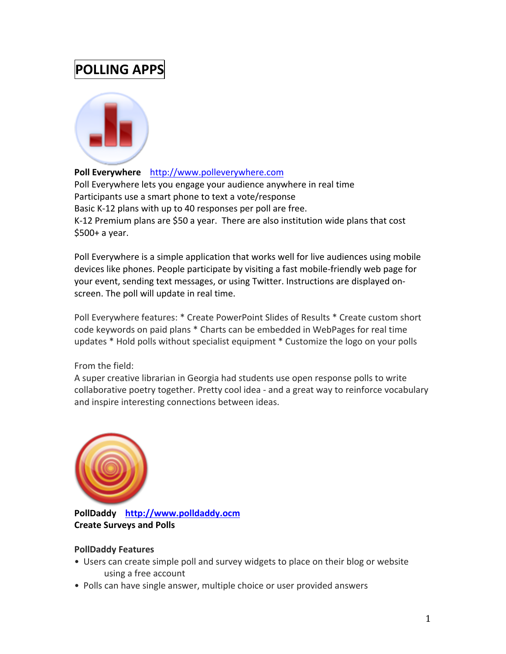# **POLLING APPS**



#### Poll Everywhere http://www.polleverywhere.com

Poll Everywhere lets you engage your audience anywhere in real time Participants use a smart phone to text a vote/response Basic K-12 plans with up to 40 responses per poll are free. K-12 Premium plans are \$50 a year. There are also institution wide plans that cost  $$500+$  a year.

Poll Everywhere is a simple application that works well for live audiences using mobile devices like phones. People participate by visiting a fast mobile-friendly web page for your event, sending text messages, or using Twitter. Instructions are displayed onscreen. The poll will update in real time.

Poll Everywhere features: \* Create PowerPoint Slides of Results \* Create custom short code keywords on paid plans \* Charts can be embedded in WebPages for real time updates \* Hold polls without specialist equipment \* Customize the logo on your polls

## From the field:

A super creative librarian in Georgia had students use open response polls to write collaborative poetry together. Pretty cool idea - and a great way to reinforce vocabulary and inspire interesting connections between ideas.



PollDaddy http://www.polldaddy.ocm **Create Surveys and Polls** 

## **PollDaddy Features**

- Users can create simple poll and survey widgets to place on their blog or website using a free account
- Polls can have single answer, multiple choice or user provided answers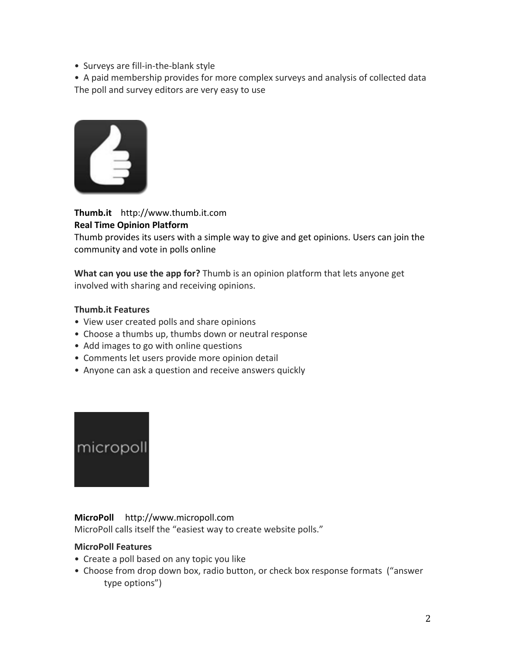• Surveys are fill-in-the-blank style

• A paid membership provides for more complex surveys and analysis of collected data The poll and survey editors are very easy to use



**Thumb.it** http://www.thumb.it.com **Real'Time'Opinion'Platform'**

Thumb provides its users with a simple way to give and get opinions. Users can join the community and vote in polls online

**What can you use the app for?** Thumb is an opinion platform that lets anyone get involved with sharing and receiving opinions.

#### **Thumb.it Features**

- View user created polls and share opinions
- Choose a thumbs up, thumbs down or neutral response
- Add images to go with online questions
- Comments let users provide more opinion detail
- Anyone can ask a question and receive answers quickly



## **MicroPoll** http://www.micropoll.com

MicroPoll calls itself the "easiest way to create website polls."

## **MicroPoll Features**

- Create a poll based on any topic you like
- Choose from drop down box, radio button, or check box response formats ("answer type options")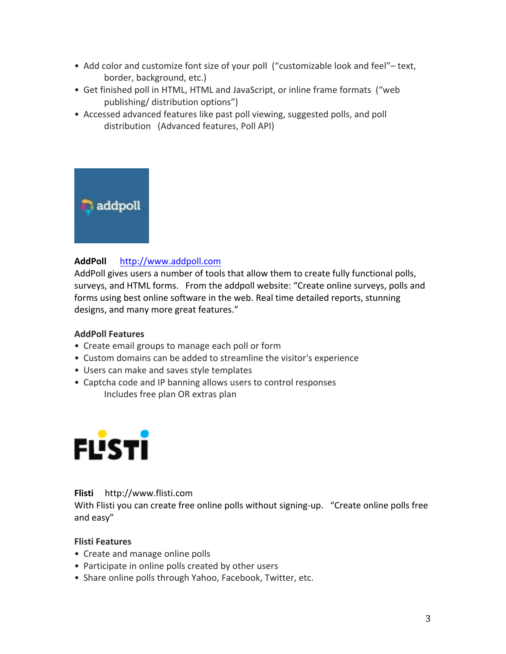- Add color and customize font size of your poll ("customizable look and feel"– text, border, background, etc.)
- Get finished poll in HTML, HTML and JavaScript, or inline frame formats ("web publishing/ distribution options")
- Accessed advanced features like past poll viewing, suggested polls, and poll distribution (Advanced features, Poll API)



## AddPoll http://www.addpoll.com

AddPoll gives users a number of tools that allow them to create fully functional polls, surveys, and HTML forms. From the addpoll website: "Create online surveys, polls and forms using best online software in the web. Real time detailed reports, stunning designs, and many more great features."

## **AddPoll Features**

- Create email groups to manage each poll or form
- Custom domains can be added to streamline the visitor's experience
- Users can make and saves style templates
- Captcha code and IP banning allows users to control responses Includes free plan OR extras plan



#### **Flisti** http://www.flisti.com

With Flisti you can create free online polls without signing-up. "Create online polls free and easy"

## **Flisti Features**

- Create and manage online polls
- Participate in online polls created by other users
- Share online polls through Yahoo, Facebook, Twitter, etc.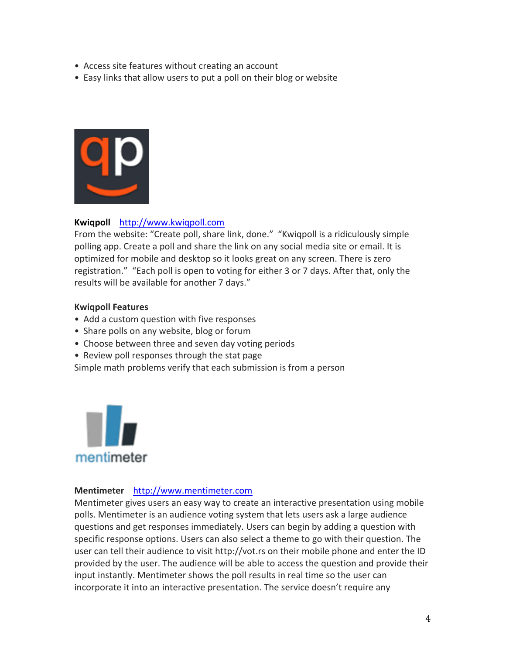- Access site features without creating an account
- Easy links that allow users to put a poll on their blog or website



## Kwiqpoll http://www.kwiqpoll.com

From the website: "Create poll, share link, done." "Kwiqpoll is a ridiculously simple polling app. Create a poll and share the link on any social media site or email. It is optimized for mobile and desktop so it looks great on any screen. There is zero registration." "Each poll is open to voting for either 3 or 7 days. After that, only the results will be available for another 7 days."

#### **Kwiqpoll Features**

- Add a custom question with five responses
- Share polls on any website, blog or forum
- Choose between three and seven day voting periods
- Review poll responses through the stat page

Simple math problems verify that each submission is from a person



#### **Mentimeter** http://www.mentimeter.com

Mentimeter gives users an easy way to create an interactive presentation using mobile polls. Mentimeter is an audience voting system that lets users ask a large audience questions and get responses immediately. Users can begin by adding a question with specific response options. Users can also select a theme to go with their question. The user can tell their audience to visit http://vot.rs on their mobile phone and enter the ID provided by the user. The audience will be able to access the question and provide their input instantly. Mentimeter shows the poll results in real time so the user can incorporate it into an interactive presentation. The service doesn't require any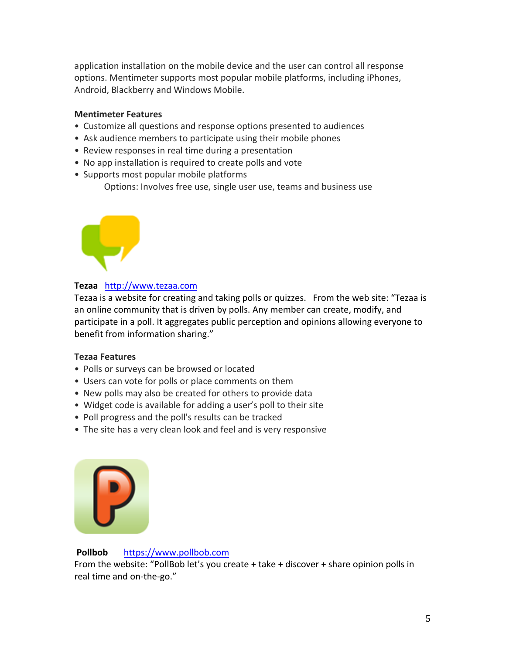application installation on the mobile device and the user can control all response options. Mentimeter supports most popular mobile platforms, including iPhones, Android, Blackberry and Windows Mobile.

#### **Mentimeter Features**

- Customize all questions and response options presented to audiences
- Ask audience members to participate using their mobile phones
- Review responses in real time during a presentation
- No app installation is required to create polls and vote
- Supports most popular mobile platforms

Options: Involves free use, single user use, teams and business use



## Tezaa http://www.tezaa.com

Tezaa is a website for creating and taking polls or quizzes. From the web site: "Tezaa is an online community that is driven by polls. Any member can create, modify, and participate in a poll. It aggregates public perception and opinions allowing everyone to benefit from information sharing."

## **Tezaa Features**

- Polls or surveys can be browsed or located
- Users can vote for polls or place comments on them
- New polls may also be created for others to provide data
- Widget code is available for adding a user's poll to their site
- Poll progress and the poll's results can be tracked
- The site has a very clean look and feel and is very responsive



## Pollbob https://www.pollbob.com

From the website: "PollBob let's you create  $+$  take  $+$  discover  $+$  share opinion polls in real time and on-the-go."